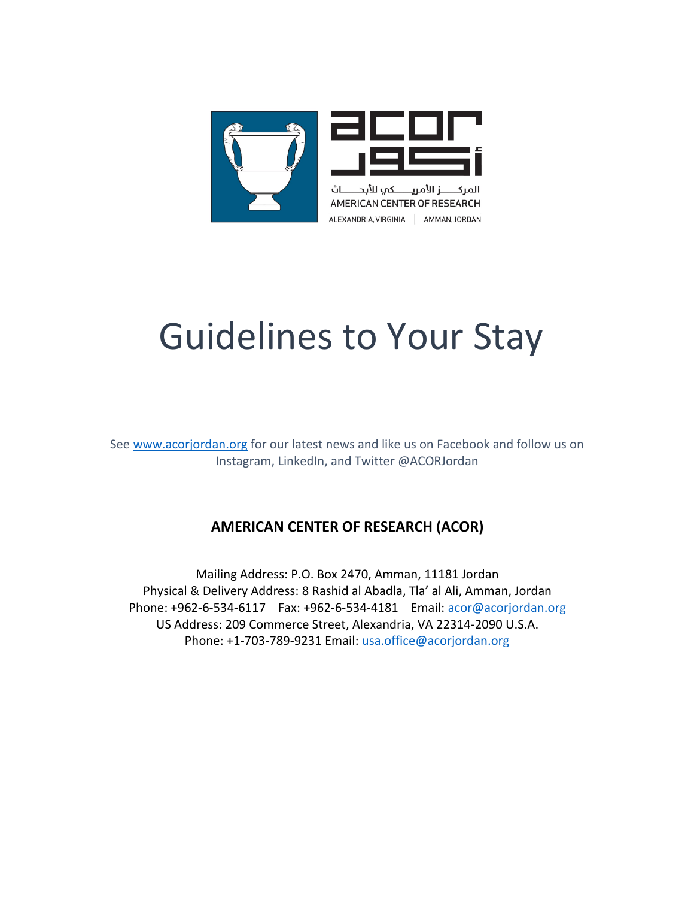

# Guidelines to Your Stay

See [www.acorjordan.org](http://www.acorjordan.org/) for our latest news and like us on Facebook and follow us on Instagram, LinkedIn, and Twitter @ACORJordan

# **AMERICAN CENTER OF RESEARCH (ACOR)**

Mailing Address: P.O. Box 2470, Amman, 11181 Jordan Physical & Delivery Address: 8 Rashid al Abadla, Tla' al Ali, Amman, Jordan Phone: +962‐6‐534‐6117 Fax: +962‐6‐534‐4181 Email: acor@acorjordan.org US Address: 209 Commerce Street, Alexandria, VA 22314-2090 U.S.A. Phone: +1-703-789-9231 Email: usa.office@acorjordan.org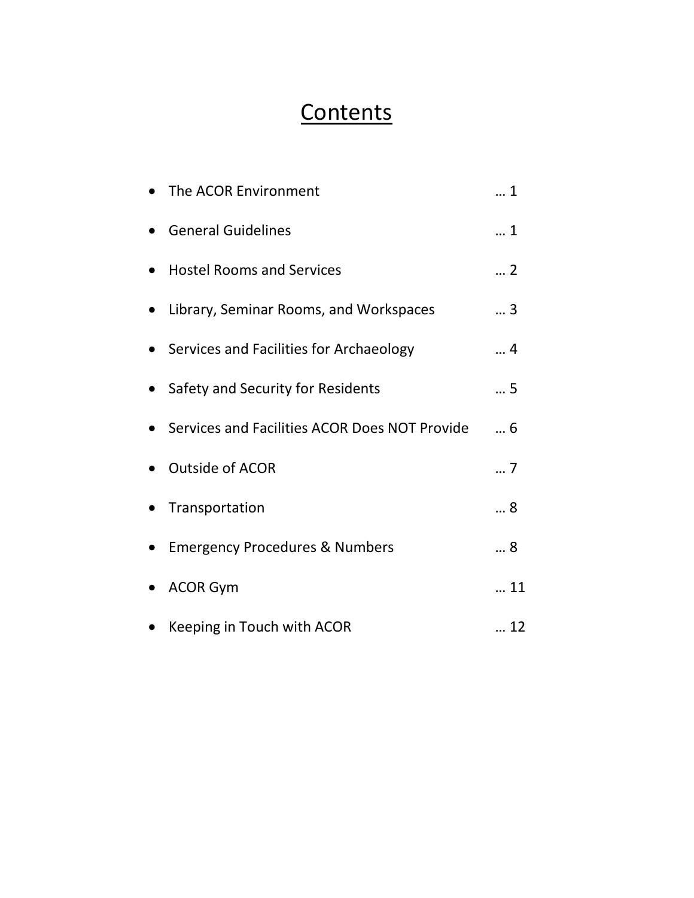# **Contents**

| The ACOR Environment                          | . 1 |
|-----------------------------------------------|-----|
| <b>General Guidelines</b>                     | 1   |
| <b>Hostel Rooms and Services</b>              | 2   |
| Library, Seminar Rooms, and Workspaces        | 3   |
| Services and Facilities for Archaeology       | 4   |
| Safety and Security for Residents             | 5   |
| Services and Facilities ACOR Does NOT Provide | 6   |
| <b>Outside of ACOR</b>                        | 7   |
| Transportation                                | 8   |
| <b>Emergency Procedures &amp; Numbers</b>     | 8   |
| <b>ACOR Gym</b>                               | 11  |
| Keeping in Touch with ACOR                    | 12  |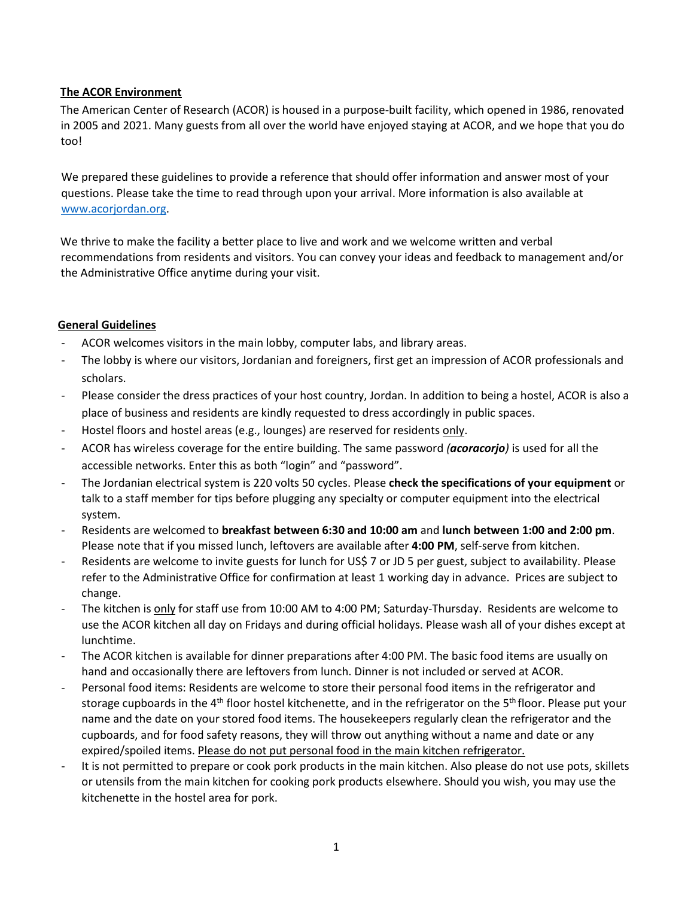# **The ACOR Environment**

The American Center of Research (ACOR) is housed in a purpose-built facility, which opened in 1986, renovated in 2005 and 2021. Many guests from all over the world have enjoyed staying at ACOR, and we hope that you do too!

We prepared these guidelines to provide a reference that should offer information and answer most of your questions. Please take the time to read through upon your arrival. More information is also available at [www.acorjordan.org.](http://www.acorjordan.org/)

We thrive to make the facility a better place to live and work and we welcome written and verbal recommendations from residents and visitors. You can convey your ideas and feedback to management and/or the Administrative Office anytime during your visit.

# **General Guidelines**

- ACOR welcomes visitors in the main lobby, computer labs, and library areas.
- The lobby is where our visitors, Jordanian and foreigners, first get an impression of ACOR professionals and scholars.
- Please consider the dress practices of your host country, Jordan. In addition to being a hostel, ACOR is also a place of business and residents are kindly requested to dress accordingly in public spaces.
- Hostel floors and hostel areas (e.g., lounges) are reserved for residents only.
- ACOR has wireless coverage for the entire building. The same password *(acoracorjo)* is used for all the accessible networks. Enter this as both "login" and "password".
- The Jordanian electrical system is 220 volts 50 cycles. Please **check the specifications of your equipment** or talk to a staff member for tips before plugging any specialty or computer equipment into the electrical system.
- Residents are welcomed to **breakfast between 6:30 and 10:00 am** and **lunch between 1:00 and 2:00 pm**. Please note that if you missed lunch, leftovers are available after **4:00 PM**, self-serve from kitchen.
- Residents are welcome to invite guests for lunch for US\$ 7 or JD 5 per guest, subject to availability. Please refer to the Administrative Office for confirmation at least 1 working day in advance. Prices are subject to change.
- The kitchen is only for staff use from 10:00 AM to 4:00 PM; Saturday-Thursday. Residents are welcome to use the ACOR kitchen all day on Fridays and during official holidays. Please wash all of your dishes except at lunchtime.
- The ACOR kitchen is available for dinner preparations after 4:00 PM. The basic food items are usually on hand and occasionally there are leftovers from lunch. Dinner is not included or served at ACOR.
- Personal food items: Residents are welcome to store their personal food items in the refrigerator and storage cupboards in the  $4<sup>th</sup>$  floor hostel kitchenette, and in the refrigerator on the  $5<sup>th</sup>$  floor. Please put your name and the date on your stored food items. The housekeepers regularly clean the refrigerator and the cupboards, and for food safety reasons, they will throw out anything without a name and date or any expired/spoiled items. Please do not put personal food in the main kitchen refrigerator.
- It is not permitted to prepare or cook pork products in the main kitchen. Also please do not use pots, skillets or utensils from the main kitchen for cooking pork products elsewhere. Should you wish, you may use the kitchenette in the hostel area for pork.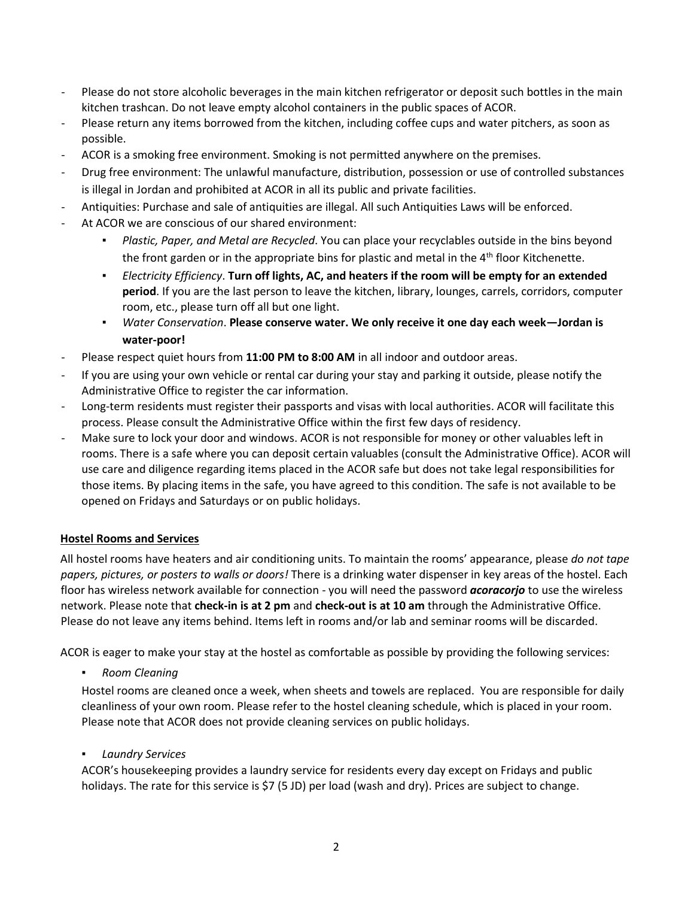- Please do not store alcoholic beverages in the main kitchen refrigerator or deposit such bottles in the main kitchen trashcan. Do not leave empty alcohol containers in the public spaces of ACOR.
- Please return any items borrowed from the kitchen, including coffee cups and water pitchers, as soon as possible.
- ACOR is a smoking free environment. Smoking is not permitted anywhere on the premises.
- Drug free environment: The unlawful manufacture, distribution, possession or use of controlled substances is illegal in Jordan and prohibited at ACOR in all its public and private facilities.
- Antiquities: Purchase and sale of antiquities are illegal. All such Antiquities Laws will be enforced.
- At ACOR we are conscious of our shared environment:
	- Plastic, Paper, and Metal are Recycled. You can place your recyclables outside in the bins beyond the front garden or in the appropriate bins for plastic and metal in the  $4<sup>th</sup>$  floor Kitchenette.
	- *Electricity Efficiency*. **Turn off lights, AC, and heaters if the room will be empty for an extended period**. If you are the last person to leave the kitchen, library, lounges, carrels, corridors, computer room, etc., please turn off all but one light.
	- *Water Conservation*. **Please conserve water. We only receive it one day each week—Jordan is water‐poor!**
- Please respect quiet hours from 11:00 PM to 8:00 AM in all indoor and outdoor areas.
- If you are using your own vehicle or rental car during your stay and parking it outside, please notify the Administrative Office to register the car information.
- Long-term residents must register their passports and visas with local authorities. ACOR will facilitate this process. Please consult the Administrative Office within the first few days of residency.
- Make sure to lock your door and windows. ACOR is not responsible for money or other valuables left in rooms. There is a safe where you can deposit certain valuables (consult the Administrative Office). ACOR will use care and diligence regarding items placed in the ACOR safe but does not take legal responsibilities for those items. By placing items in the safe, you have agreed to this condition. The safe is not available to be opened on Fridays and Saturdays or on public holidays.

# **Hostel Rooms and Services**

All hostel rooms have heaters and air conditioning units. To maintain the rooms' appearance, please *do not tape papers, pictures, or posters to walls or doors!* There is a drinking water dispenser in key areas of the hostel. Each floor has wireless network available for connection - you will need the password *acoracorjo* to use the wireless network. Please note that **check-in is at 2 pm** and **check-out is at 10 am** through the Administrative Office. Please do not leave any items behind. Items left in rooms and/or lab and seminar rooms will be discarded.

ACOR is eager to make your stay at the hostel as comfortable as possible by providing the following services:

▪ *Room Cleaning* 

Hostel rooms are cleaned once a week, when sheets and towels are replaced. You are responsible for daily cleanliness of your own room. Please refer to the hostel cleaning schedule, which is placed in your room. Please note that ACOR does not provide cleaning services on public holidays.

▪ *Laundry Services*

ACOR's housekeeping provides a laundry service for residents every day except on Fridays and public holidays. The rate for this service is \$7 (5 JD) per load (wash and dry). Prices are subject to change.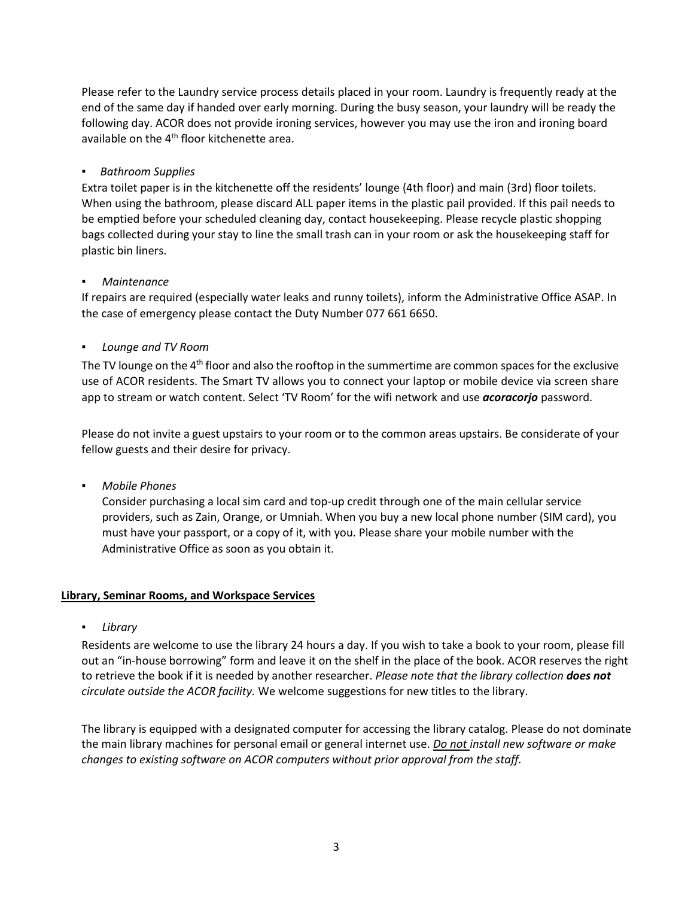Please refer to the Laundry service process details placed in your room. Laundry is frequently ready at the end of the same day if handed over early morning. During the busy season, your laundry will be ready the following day. ACOR does not provide ironing services, however you may use the iron and ironing board available on the 4<sup>th</sup> floor kitchenette area.

#### ▪ *Bathroom Supplies*

Extra toilet paper is in the kitchenette off the residents' lounge (4th floor) and main (3rd) floor toilets. When using the bathroom, please discard ALL paper items in the plastic pail provided. If this pail needs to be emptied before your scheduled cleaning day, contact housekeeping. Please recycle plastic shopping bags collected during your stay to line the small trash can in your room or ask the housekeeping staff for plastic bin liners.

#### ▪ *Maintenance*

If repairs are required (especially water leaks and runny toilets), inform the Administrative Office ASAP. In the case of emergency please contact the Duty Number 077 661 6650.

#### ▪ *Lounge and TV Room*

The TV lounge on the 4<sup>th</sup> floor and also the rooftop in the summertime are common spaces for the exclusive use of ACOR residents. The Smart TV allows you to connect your laptop or mobile device via screen share app to stream or watch content. Select 'TV Room' for the wifi network and use *acoracorjo* password.

Please do not invite a guest upstairs to your room or to the common areas upstairs. Be considerate of your fellow guests and their desire for privacy.

▪ *Mobile Phones*

Consider purchasing a local sim card and top‐up credit through one of the main cellular service providers, such as Zain, Orange, or Umniah. When you buy a new local phone number (SIM card), you must have your passport, or a copy of it, with you. Please share your mobile number with the Administrative Office as soon as you obtain it.

#### **Library, Seminar Rooms, and Workspace Services**

▪ *Library*

Residents are welcome to use the library 24 hours a day. If you wish to take a book to your room, please fill out an "in-house borrowing" form and leave it on the shelf in the place of the book. ACOR reserves the right to retrieve the book if it is needed by another researcher. *Please note that the library collection does not circulate outside the ACOR facility.* We welcome suggestions for new titles to the library.

The library is equipped with a designated computer for accessing the library catalog. Please do not dominate the main library machines for personal email or general internet use. *Do not install new software or make changes to existing software on ACOR computers without prior approval from the staff.*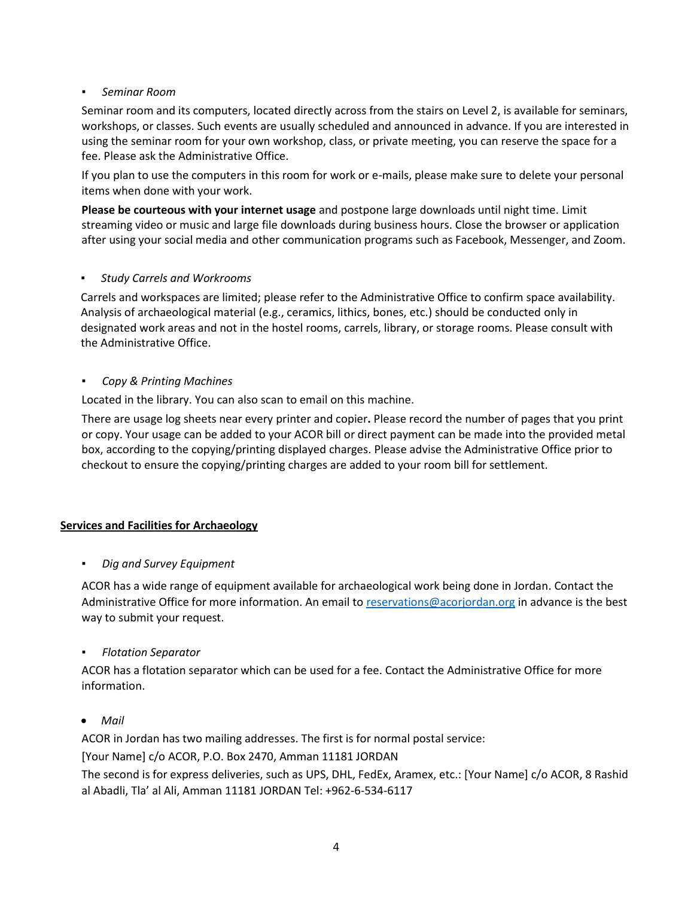# ▪ *Seminar Room*

Seminar room and its computers, located directly across from the stairs on Level 2, is available for seminars, workshops, or classes. Such events are usually scheduled and announced in advance. If you are interested in using the seminar room for your own workshop, class, or private meeting, you can reserve the space for a fee. Please ask the Administrative Office.

If you plan to use the computers in this room for work or e-mails, please make sure to delete your personal items when done with your work.

**Please be courteous with your internet usage** and postpone large downloads until night time. Limit streaming video or music and large file downloads during business hours. Close the browser or application after using your social media and other communication programs such as Facebook, Messenger, and Zoom.

# ▪ *Study Carrels and Workrooms*

Carrels and workspaces are limited; please refer to the Administrative Office to confirm space availability. Analysis of archaeological material (e.g., ceramics, lithics, bones, etc.) should be conducted only in designated work areas and not in the hostel rooms, carrels, library, or storage rooms. Please consult with the Administrative Office.

# ▪ *Copy & Printing Machines*

Located in the library. You can also scan to email on this machine.

There are usage log sheets near every printer and copier**.** Please record the number of pages that you print or copy. Your usage can be added to your ACOR bill or direct payment can be made into the provided metal box, according to the copying/printing displayed charges. Please advise the Administrative Office prior to checkout to ensure the copying/printing charges are added to your room bill for settlement.

# **Services and Facilities for Archaeology**

# **Dig and Survey Equipment**

ACOR has a wide range of equipment available for archaeological work being done in Jordan. Contact the Administrative Office for more information. An email to [reservations@acorjordan.org](mailto:reservations@acorjordan.org) in advance is the best way to submit your request.

# ▪ *Flotation Separator*

ACOR has a flotation separator which can be used for a fee. Contact the Administrative Office for more information.

# *Mail*

ACOR in Jordan has two mailing addresses. The first is for normal postal service:

[Your Name] c/o ACOR, P.O. Box 2470, Amman 11181 JORDAN

The second is for express deliveries, such as UPS, DHL, FedEx, Aramex, etc.: [Your Name] c/o ACOR, 8 Rashid al Abadli, Tla' al Ali, Amman 11181 JORDAN Tel: +962‐6‐534‐6117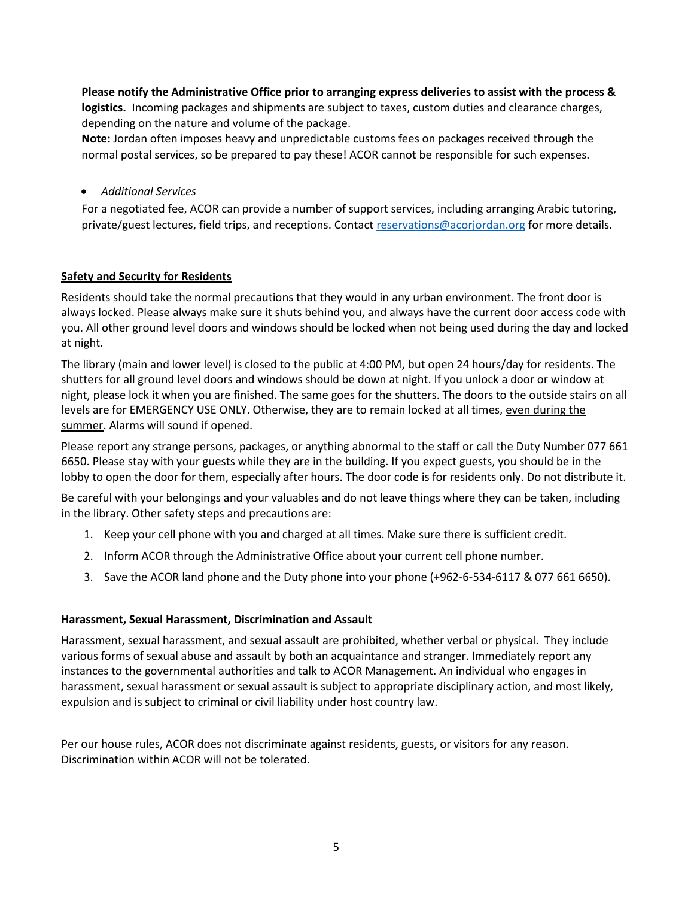**Please notify the Administrative Office prior to arranging express deliveries to assist with the process & logistics.** Incoming packages and shipments are subject to taxes, custom duties and clearance charges, depending on the nature and volume of the package.

**Note:** Jordan often imposes heavy and unpredictable customs fees on packages received through the normal postal services, so be prepared to pay these! ACOR cannot be responsible for such expenses.

*Additional Services* 

For a negotiated fee, ACOR can provide a number of support services, including arranging Arabic tutoring, private/guest lectures, field trips, and receptions. Contact [reservations@acorjordan.org](mailto:reservations@acorjordan.org) for more details.

# **Safety and Security for Residents**

Residents should take the normal precautions that they would in any urban environment. The front door is always locked. Please always make sure it shuts behind you, and always have the current door access code with you. All other ground level doors and windows should be locked when not being used during the day and locked at night.

The library (main and lower level) is closed to the public at 4:00 PM, but open 24 hours/day for residents. The shutters for all ground level doors and windows should be down at night. If you unlock a door or window at night, please lock it when you are finished. The same goes for the shutters. The doors to the outside stairs on all levels are for EMERGENCY USE ONLY. Otherwise, they are to remain locked at all times, even during the summer. Alarms will sound if opened.

Please report any strange persons, packages, or anything abnormal to the staff or call the Duty Number 077 661 6650. Please stay with your guests while they are in the building. If you expect guests, you should be in the lobby to open the door for them, especially after hours. The door code is for residents only. Do not distribute it.

Be careful with your belongings and your valuables and do not leave things where they can be taken, including in the library. Other safety steps and precautions are:

- 1. Keep your cell phone with you and charged at all times. Make sure there is sufficient credit.
- 2. Inform ACOR through the Administrative Office about your current cell phone number.
- 3. Save the ACOR land phone and the Duty phone into your phone (+962‐6‐534‐6117 & 077 661 6650).

# **Harassment, Sexual Harassment, Discrimination and Assault**

Harassment, sexual harassment, and sexual assault are prohibited, whether verbal or physical. They include various forms of sexual abuse and assault by both an acquaintance and stranger. Immediately report any instances to the governmental authorities and talk to ACOR Management. An individual who engages in harassment, sexual harassment or sexual assault is subject to appropriate disciplinary action, and most likely, expulsion and is subject to criminal or civil liability under host country law.

Per our house rules, ACOR does not discriminate against residents, guests, or visitors for any reason. Discrimination within ACOR will not be tolerated.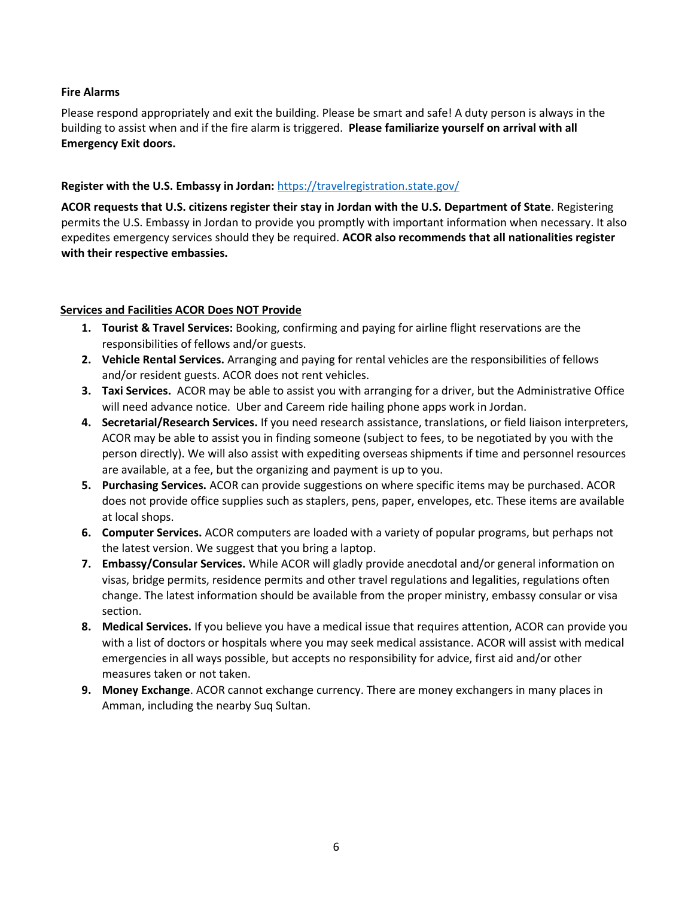# **Fire Alarms**

Please respond appropriately and exit the building. Please be smart and safe! A duty person is always in the building to assist when and if the fire alarm is triggered. **Please familiarize yourself on arrival with all Emergency Exit doors.**

# **Register with the U.S. Embassy in Jordan:** <https://travelregistration.state.gov/>

**ACOR requests that U.S. citizens register their stay in Jordan with the U.S. Department of State**. Registering permits the U.S. Embassy in Jordan to provide you promptly with important information when necessary. It also expedites emergency services should they be required. **ACOR also recommends that all nationalities register with their respective embassies.** 

# **Services and Facilities ACOR Does NOT Provide**

- **1. Tourist & Travel Services:** Booking, confirming and paying for airline flight reservations are the responsibilities of fellows and/or guests.
- **2. Vehicle Rental Services.** Arranging and paying for rental vehicles are the responsibilities of fellows and/or resident guests. ACOR does not rent vehicles.
- **3. Taxi Services.** ACOR may be able to assist you with arranging for a driver, but the Administrative Office will need advance notice. Uber and Careem ride hailing phone apps work in Jordan.
- **4. Secretarial/Research Services.** If you need research assistance, translations, or field liaison interpreters, ACOR may be able to assist you in finding someone (subject to fees, to be negotiated by you with the person directly). We will also assist with expediting overseas shipments if time and personnel resources are available, at a fee, but the organizing and payment is up to you.
- **5. Purchasing Services.** ACOR can provide suggestions on where specific items may be purchased. ACOR does not provide office supplies such as staplers, pens, paper, envelopes, etc. These items are available at local shops.
- **6. Computer Services.** ACOR computers are loaded with a variety of popular programs, but perhaps not the latest version. We suggest that you bring a laptop.
- **7. Embassy/Consular Services.** While ACOR will gladly provide anecdotal and/or general information on visas, bridge permits, residence permits and other travel regulations and legalities, regulations often change. The latest information should be available from the proper ministry, embassy consular or visa section.
- **8. Medical Services.** If you believe you have a medical issue that requires attention, ACOR can provide you with a list of doctors or hospitals where you may seek medical assistance. ACOR will assist with medical emergencies in all ways possible, but accepts no responsibility for advice, first aid and/or other measures taken or not taken.
- **9. Money Exchange**. ACOR cannot exchange currency. There are money exchangers in many places in Amman, including the nearby Suq Sultan.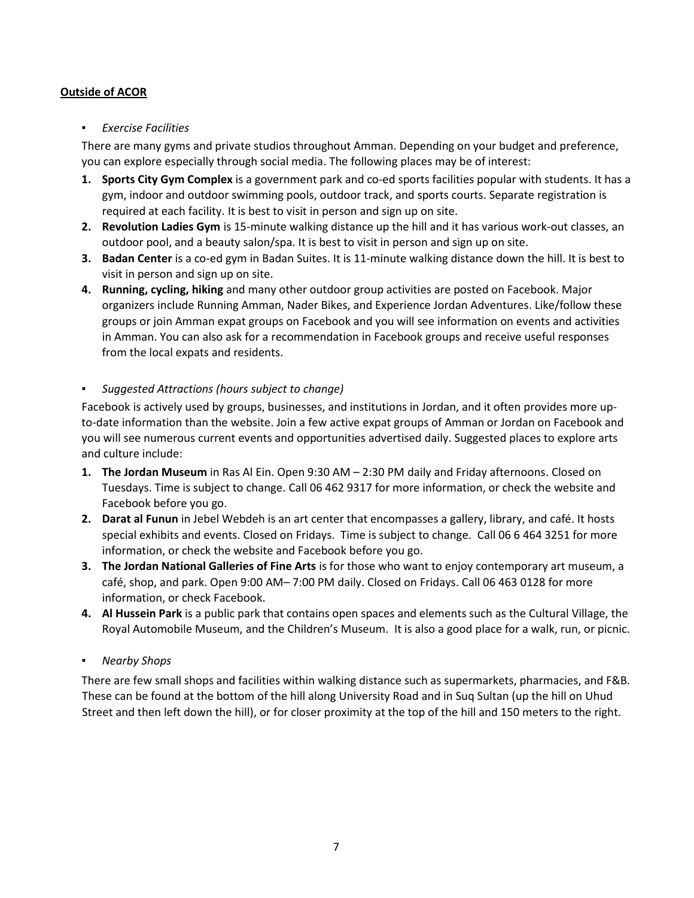# **Outside of ACOR**

# ▪ *Exercise Facilities*

There are many gyms and private studios throughout Amman. Depending on your budget and preference, you can explore especially through social media. The following places may be of interest:

- **1. Sports City Gym Complex** is a government park and co-ed sports facilities popular with students. It has a gym, indoor and outdoor swimming pools, outdoor track, and sports courts. Separate registration is required at each facility. It is best to visit in person and sign up on site.
- **2. Revolution Ladies Gym** is 15-minute walking distance up the hill and it has various work‐out classes, an outdoor pool, and a beauty salon/spa. It is best to visit in person and sign up on site.
- **3. Badan Center** is a co-ed gym in Badan Suites. It is 11-minute walking distance down the hill. It is best to visit in person and sign up on site.
- **4. Running, cycling, hiking** and many other outdoor group activities are posted on Facebook. Major organizers include Running Amman, Nader Bikes, and Experience Jordan Adventures. Like/follow these groups or join Amman expat groups on Facebook and you will see information on events and activities in Amman. You can also ask for a recommendation in Facebook groups and receive useful responses from the local expats and residents.

# ▪ *Suggested Attractions (hours subject to change)*

Facebook is actively used by groups, businesses, and institutions in Jordan, and it often provides more upto-date information than the website. Join a few active expat groups of Amman or Jordan on Facebook and you will see numerous current events and opportunities advertised daily. Suggested places to explore arts and culture include:

- **1. The Jordan Museum** in Ras Al Ein. Open 9:30 AM 2:30 PM daily and Friday afternoons. Closed on Tuesdays. Time is subject to change. Call 06 462 9317 for more information, or check the website and Facebook before you go.
- **2. Darat al Funun** in Jebel Webdeh is an art center that encompasses a gallery, library, and café. It hosts special exhibits and events. Closed on Fridays. Time is subject to change. Call 06 6 464 3251 for more information, or check the website and Facebook before you go.
- **3. The Jordan National Galleries of Fine Arts** is for those who want to enjoy contemporary art museum, a café, shop, and park. Open 9:00 AM– 7:00 PM daily. Closed on Fridays. Call 06 463 0128 for more information, or check Facebook.
- **4. Al Hussein Park** is a public park that contains open spaces and elements such as the Cultural Village, the Royal Automobile Museum, and the Children's Museum. It is also a good place for a walk, run, or picnic.

# ▪ *Nearby Shops*

There are few small shops and facilities within walking distance such as supermarkets, pharmacies, and F&B. These can be found at the bottom of the hill along University Road and in Suq Sultan (up the hill on Uhud Street and then left down the hill), or for closer proximity at the top of the hill and 150 meters to the right.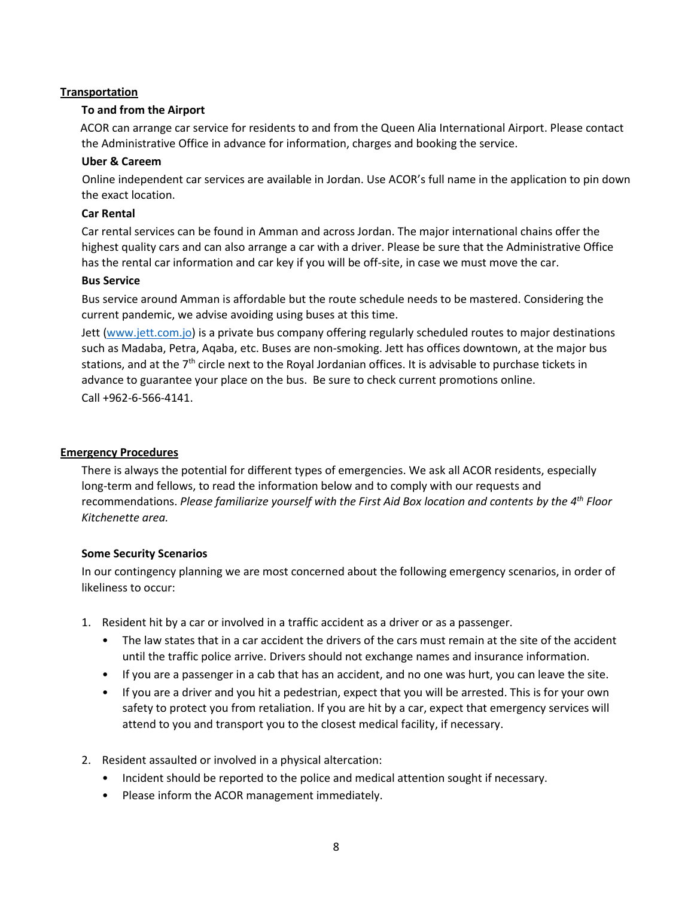# **Transportation**

# **To and from the Airport**

 ACOR can arrange car service for residents to and from the Queen Alia International Airport. Please contact the Administrative Office in advance for information, charges and booking the service.

# **Uber & Careem**

Online independent car services are available in Jordan. Use ACOR's full name in the application to pin down the exact location.

# **Car Rental**

Car rental services can be found in Amman and across Jordan. The major international chains offer the highest quality cars and can also arrange a car with a driver. Please be sure that the Administrative Office has the rental car information and car key if you will be off-site, in case we must move the car.

# **Bus Service**

Bus service around Amman is affordable but the route schedule needs to be mastered. Considering the current pandemic, we advise avoiding using buses at this time.

Jett [\(www.jett.com.jo\)](file://///192.168.5.12/acor/SHARED/FELLOWSHIPS%20MASTER%20File/Welcome%20to%20ACOR/www.jett.com.jo) is a private bus company offering regularly scheduled routes to major destinations such as Madaba, Petra, Aqaba, etc. Buses are non‐smoking. Jett has offices downtown, at the major bus stations, and at the 7<sup>th</sup> circle next to the Royal Jordanian offices. It is advisable to purchase tickets in advance to guarantee your place on the bus. Be sure to check current promotions online. Call +962‐6‐566‐4141.

# **Emergency Procedures**

There is always the potential for different types of emergencies. We ask all ACOR residents, especially long-term and fellows, to read the information below and to comply with our requests and recommendations. *Please familiarize yourself with the First Aid Box location and contents by the 4th Floor Kitchenette area.*

# **Some Security Scenarios**

In our contingency planning we are most concerned about the following emergency scenarios, in order of likeliness to occur:

- 1. Resident hit by a car or involved in a traffic accident as a driver or as a passenger.
	- The law states that in a car accident the drivers of the cars must remain at the site of the accident until the traffic police arrive. Drivers should not exchange names and insurance information.
	- If you are a passenger in a cab that has an accident, and no one was hurt, you can leave the site.
	- If you are a driver and you hit a pedestrian, expect that you will be arrested. This is for your own safety to protect you from retaliation. If you are hit by a car, expect that emergency services will attend to you and transport you to the closest medical facility, if necessary.
- 2. Resident assaulted or involved in a physical altercation:
	- Incident should be reported to the police and medical attention sought if necessary.
	- Please inform the ACOR management immediately.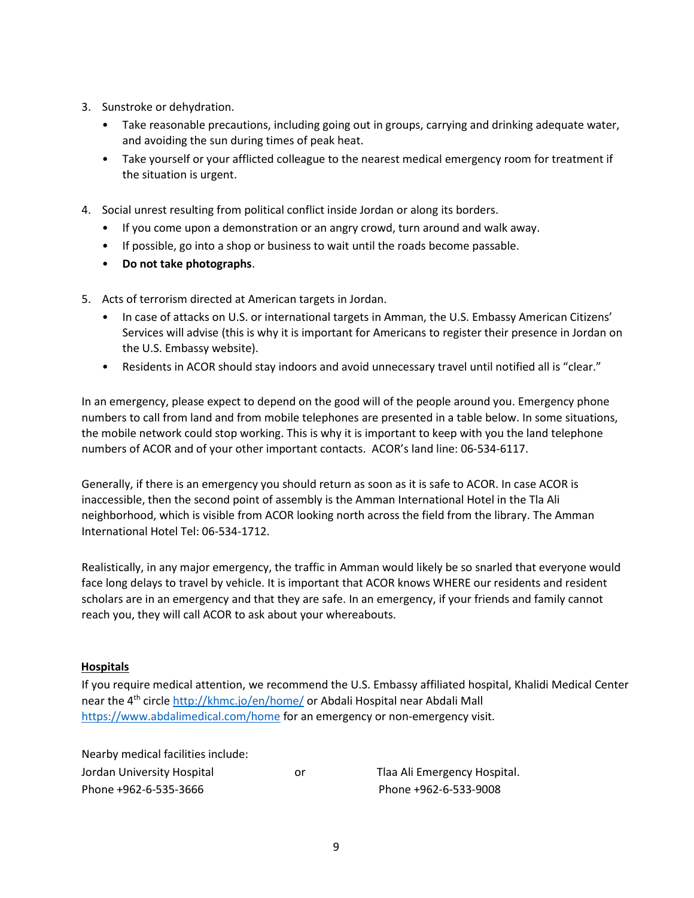- 3. Sunstroke or dehydration.
	- Take reasonable precautions, including going out in groups, carrying and drinking adequate water, and avoiding the sun during times of peak heat.
	- Take yourself or your afflicted colleague to the nearest medical emergency room for treatment if the situation is urgent.
- 4. Social unrest resulting from political conflict inside Jordan or along its borders.
	- If you come upon a demonstration or an angry crowd, turn around and walk away.
	- If possible, go into a shop or business to wait until the roads become passable.
	- **Do not take photographs**.
- 5. Acts of terrorism directed at American targets in Jordan.
	- In case of attacks on U.S. or international targets in Amman, the U.S. Embassy American Citizens' Services will advise (this is why it is important for Americans to register their presence in Jordan on the U.S. Embassy website).
	- Residents in ACOR should stay indoors and avoid unnecessary travel until notified all is "clear."

In an emergency, please expect to depend on the good will of the people around you. Emergency phone numbers to call from land and from mobile telephones are presented in a table below. In some situations, the mobile network could stop working. This is why it is important to keep with you the land telephone numbers of ACOR and of your other important contacts. ACOR's land line: 06-534-6117.

Generally, if there is an emergency you should return as soon as it is safe to ACOR. In case ACOR is inaccessible, then the second point of assembly is the Amman International Hotel in the Tla Ali neighborhood, which is visible from ACOR looking north across the field from the library. The Amman International Hotel Tel: 06-534-1712.

Realistically, in any major emergency, the traffic in Amman would likely be so snarled that everyone would face long delays to travel by vehicle. It is important that ACOR knows WHERE our residents and resident scholars are in an emergency and that they are safe. In an emergency, if your friends and family cannot reach you, they will call ACOR to ask about your whereabouts.

# **Hospitals**

If you require medical attention, we recommend the U.S. Embassy affiliated hospital, Khalidi Medical Center near the 4th circle <http://khmc.jo/en/home/> or Abdali Hospital near Abdali Mall <https://www.abdalimedical.com/home> for an emergency or non-emergency visit.

Nearby medical facilities include: Jordan University Hospital or Tlaa Ali Emergency Hospital. Phone +962‐6‐535‐3666 Phone +962‐6‐533‐9008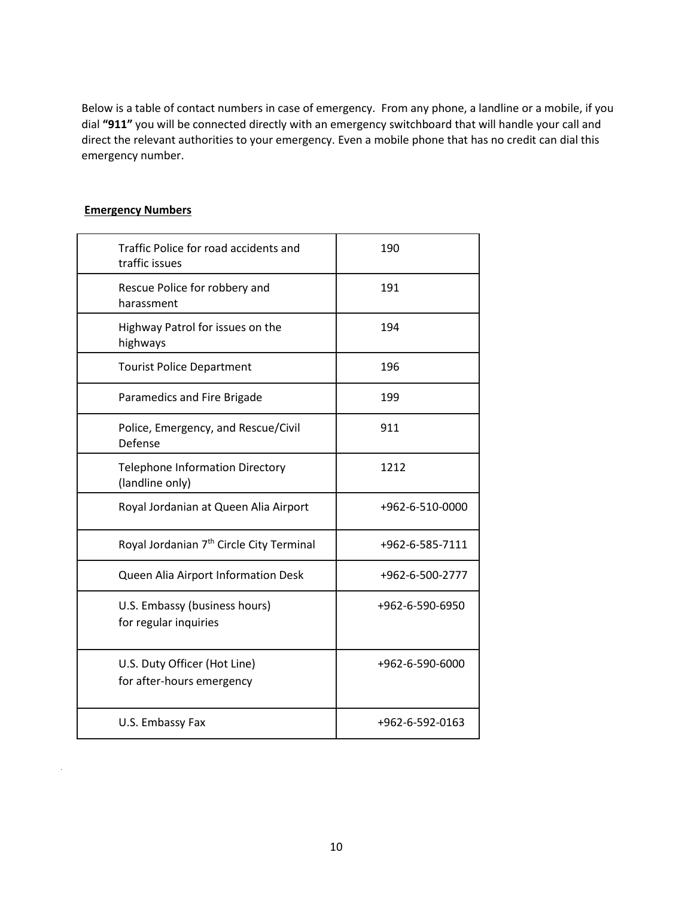Below is a table of contact numbers in case of emergency. From any phone, a landline or a mobile, if you dial **"911"** you will be connected directly with an emergency switchboard that will handle your call and direct the relevant authorities to your emergency. Even a mobile phone that has no credit can dial this emergency number.

# **Emergency Numbers**

| Traffic Police for road accidents and<br>traffic issues   | 190             |
|-----------------------------------------------------------|-----------------|
| Rescue Police for robbery and<br>harassment               | 191             |
| Highway Patrol for issues on the<br>highways              | 194             |
| <b>Tourist Police Department</b>                          | 196             |
| Paramedics and Fire Brigade                               | 199             |
| Police, Emergency, and Rescue/Civil<br>Defense            | 911             |
| <b>Telephone Information Directory</b><br>(landline only) | 1212            |
| Royal Jordanian at Queen Alia Airport                     | +962-6-510-0000 |
| Royal Jordanian 7 <sup>th</sup> Circle City Terminal      | +962-6-585-7111 |
| Queen Alia Airport Information Desk                       | +962-6-500-2777 |
| U.S. Embassy (business hours)<br>for regular inquiries    | +962-6-590-6950 |
| U.S. Duty Officer (Hot Line)<br>for after-hours emergency | +962-6-590-6000 |
| U.S. Embassy Fax                                          | +962-6-592-0163 |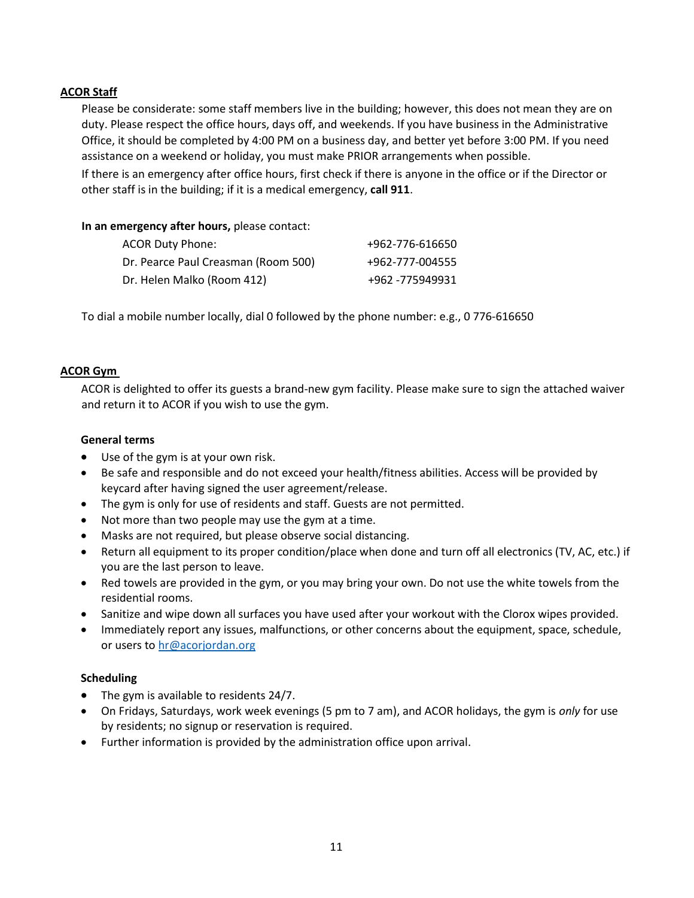# **ACOR Staff**

Please be considerate: some staff members live in the building; however, this does not mean they are on duty. Please respect the office hours, days off, and weekends. If you have business in the Administrative Office, it should be completed by 4:00 PM on a business day, and better yet before 3:00 PM. If you need assistance on a weekend or holiday, you must make PRIOR arrangements when possible.

If there is an emergency after office hours, first check if there is anyone in the office or if the Director or other staff is in the building; if it is a medical emergency, **call 911**.

#### **In an emergency after hours,** please contact:

| <b>ACOR Duty Phone:</b>             | +962-776-616650 |
|-------------------------------------|-----------------|
| Dr. Pearce Paul Creasman (Room 500) | +962-777-004555 |
| Dr. Helen Malko (Room 412)          | +962 -775949931 |

To dial a mobile number locally, dial 0 followed by the phone number: e.g., 0 776-616650

# **ACOR Gym**

ACOR is delighted to offer its guests a brand-new gym facility. Please make sure to sign the attached waiver and return it to ACOR if you wish to use the gym.

#### **General terms**

- Use of the gym is at your own risk.
- Be safe and responsible and do not exceed your health/fitness abilities. Access will be provided by keycard after having signed the user agreement/release.
- The gym is only for use of residents and staff. Guests are not permitted.
- Not more than two people may use the gym at a time.
- Masks are not required, but please observe social distancing.
- Return all equipment to its proper condition/place when done and turn off all electronics (TV, AC, etc.) if you are the last person to leave.
- Red towels are provided in the gym, or you may bring your own. Do not use the white towels from the residential rooms.
- Sanitize and wipe down all surfaces you have used after your workout with the Clorox wipes provided.
- Immediately report any issues, malfunctions, or other concerns about the equipment, space, schedule, or users t[o hr@acorjordan.org](mailto:hr@acorjordan.org)

# **Scheduling**

- The gym is available to residents 24/7.
- On Fridays, Saturdays, work week evenings (5 pm to 7 am), and ACOR holidays, the gym is *only* for use by residents; no signup or reservation is required.
- Further information is provided by the administration office upon arrival.